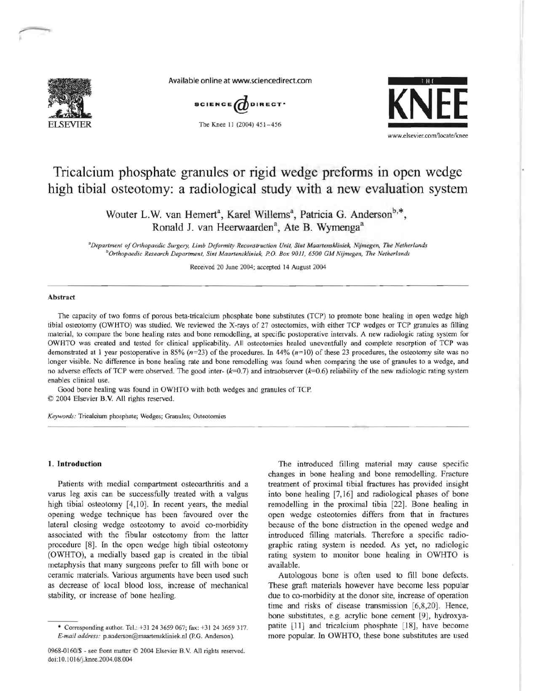

Available online at www.sciencedirect.com



The Knee 11 (2004) 451-456



# Tricalcium phosphate granules or rigid wedge preforms in open wedge high tibial osteotomy: a radiological study with a new evaluation system

Wouter L.W. van Hemert<sup>a</sup>, Karel Willems<sup>a</sup>, Patricia G. Anderson<sup>b,\*</sup>, Ronald J. van Heerwaarden<sup>a</sup>, Ate B. Wymenga<sup>a</sup>

<sup>a</sup>Department of Orthopaedic Surgery, Limb Deformity Reconstruction Unit, Sint Maartenskliniek, Nijmegen, The Netherlands <sup>b</sup>Orthopaedic Research Department, Sint Maartenskliniek, P.O. Box 9011, 6500 GM Nijmegen, The Netherlands

Received 20 June 2004; accepted 14 August 2004

### Abstract

The capacity of two forms of porous beta-tricalcium phosphate bone substitutes (TCP) to promote bone healing in open wedge high tibial osteotomy (OWHTO) was studied. We reviewed the X-rays of 27 osteotomies, with either TCP wedges or TCP granules as filling material, to compare the bone healing rates and bone remodelling, at specific postoperative intervals. A new radiologic rating system for OWHTO was created and tested for clinical applicability. All osteotomies healed uneventfully and complete resorption of TCP was demonstrated at 1 year postoperative in 85% ( $n=23$ ) of the procedures. In 44% ( $n=10$ ) of these 23 procedures, the osteotomy site was no longer visible. No difference in bone healing rate and bone remodelling was found when comparing the use of granules to a wedge, and no adverse effects of TCP were observed. The good inter- $(k=0.7)$  and intraobserver  $(k=0.6)$  reliability of the new radiologic rating system enables clinical use.

Good bone healing was found in OWHTO with both wedges and granules of TCP. © 2004 Elsevier B.V. All rights reserved.

Keywords: Tricalcium phosphate; Wedges; Granules; Osteotomies

#### 1. Introduction

Patients with medial compartment osteoarthritis and a varus leg axis can be successfully treated with a valgus high tibial osteotomy [4,10]. In recent years, the medial opening wedge technique has been favoured over the lateral closing wedge osteotomy to avoid co-morbidity associated with the fibular osteotomy from the latter procedure [8]. In the open wedge high tibial osteotomy (OWHTO), a medially based gap is created in the tibial metaphysis that many surgeons prefer to fill with bone or ceramic materials. Various arguments have been used such as decrease of local blood loss, increase of mechanical stability, or increase of bone healing.

The introduced filling material may cause specific changes in bone healing and bone remodelling. Fracture treatment of proximal tibial fractures has provided insight into bone healing [7,16] and radiological phases of bone remodelling in the proximal tibia [22]. Bone healing in open wedge osteotomies differs from that in fractures because of the bone distraction in the opened wedge and introduced filling materials. Therefore a specific radiographic rating system is needed. As yet, no radiologic rating system to monitor bone healing in OWHTO is available.

Autologous bone is often used to fill bone defects. These graft materials however have become less popular due to co-morbidity at the donor site, increase of operation time and risks of disease transmission [6,8,20]. Hence, bone substitutes, e.g. acrylic bone cement [9], hydroxyapatite [11] and tricalcium phosphate [18], have become more popular. In OWHTO, these bone substitutes are used

<sup>\*</sup> Corresponding author. Tel.: +31 24 3659 067; fax: +31 24 3659 317. E-mail address: p.anderson@maartenskliniek.nl (P.G. Anderson).

<sup>0968-0160/\$ -</sup> see front matter © 2004 Elsevier B.V. All rights reserved. doi:10.1016/j.knee.2004.08.004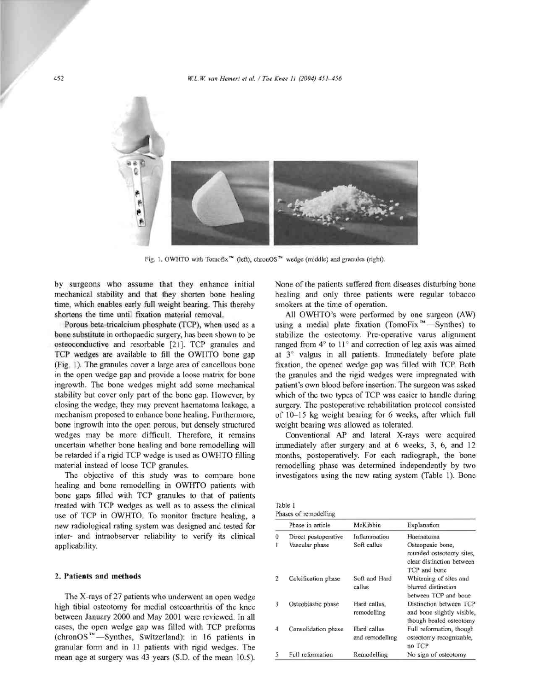

Fig. 1. OWHTO with Tomofix<sup>74</sup> (left), chronOS<sup>74</sup> wedge (middle) and granules (right).

by surgeons who assume that they enhance initial mechanical stability and that they shorten bone healing time, which enables early full weight bearing. This thereby shortens the time until fixation material removal.

Porous beta-tricalcium phosphate (TCP), when used as a bone substitute in orthopaedic surgery, has been shown to be osteoconductive and resorbable [21]. TCP granules and TCP wedges are available to fill the OWHTO bone gap (Fig. 1). The granules cover a large area of cancellous bone in the open wedge gap and provide a loose matrix for bone ingrowth. The bone wedges might add some mechanical stability but cover only part of the bone gap. However, by closing the wedge, they may prevent haematoma leakage, a mechanism proposed to enhance bone healing. Furthermore, bone ingrowth into the open porous, but densely structured wedges may be more difficult. Therefore, it remains uncertain whether bone healing and bone remodelling will be retarded if a rigid TCP wedge is used as OWHTO filling material instead of loose TCP granules.

The objective of this study was to compare bone healing and bone remodelling in OWHTO patients with bone gaps filled with TCP granules to that of patients treated with TCP wedges as well as to assess the clinical use of TCP in OWHTO. To monitor fracture healing, a new radiological rating system was designed and tested for inter- and intraobserver reliability to verify its clinical applicability.

## 2. Patients and methods

The X-rays of 27 patients who underwent an open wedge high tibial osteotomy for medial osteoarthritis of the knee between January 2000 and May 2001 were reviewed. In all cases, the open wedge gap was filled with TCP preforms (chronOS<sup>™</sup>—Synthes, Switzerland): in 16 patients in granular form and in 11 patients with rigid wedges. The mean age at surgery was 43 years (S.D. of the mean 10.5). None of the patients suffered from diseases disturbing bone healing and only three patients were regular tobacco smokers at the time of operation.

All OWHTO's were performed by one surgeon (AW) using a medial plate fixation (TomoFix<sup>™</sup>—Synthes) to stabilize the osteotomy. Pre-operative varus alignment ranged from 4° to 11° and correction of leg axis was aimed at 3° valgus in all patients. Immediately before plate fixation, the opened wedge gap was filled with TCP. Both the granules and the rigid wedges were impregnated with patient's own blood before insertion. The surgeon was asked which of the two types of TCP was easier to handle during surgery. The postoperative rehabilitation protocol consisted of 10-15 kg weight bearing for 6 weeks, after which full weight bearing was allowed as tolerated.

Conventional AP and lateral X-rays were acquired immediately after surgery and at 6 weeks, 3, 6, and 12 months, postoperatively. For each radiograph, the bone remodelling phase was determined independently by two investigators using the new rating system (Table 1). Bone

| Table 1 |                       |
|---------|-----------------------|
|         | Dhacer of remadelling |

|                | Phase in article     | McKibbin                       | Explanation                                                                               |
|----------------|----------------------|--------------------------------|-------------------------------------------------------------------------------------------|
| 0              | Direct postoperative | Inflammation                   | Haematoma                                                                                 |
| 1              | Vascular phase       | Soft callus                    | Osteopenic bone,<br>rounded osteotomy sites,<br>clear distinction between<br>TCP and bone |
| $\overline{2}$ | Calcification phase  | Soft and Hard<br>callus        | Whitening of sites and<br>blurred distinction<br>between TCP and bone                     |
| 3              | Osteoblastic phase   | Hard callus.<br>remodelling    | Distinction between TCP<br>and bone slightly visible,<br>though healed osteotomy          |
| 4              | Consolidation phase  | Hard callus<br>and remodelling | Full reformation, though<br>osteotomy recognizable,<br>no TCP                             |
| 5              | Full reformation     | Remodelling                    | No sign of osteotomy                                                                      |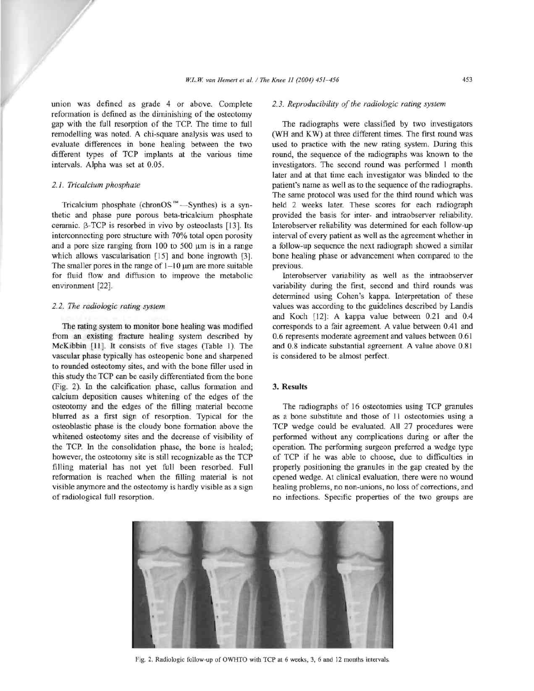union was defined as grade 4 or above. Complete reformation is defined as the diminishing of the osteotomy gap with the full resorption of the TCP. The time to full remodelling was noted. A chi-square analysis was used to evaluate differences in bone healing between the two different types of TCP implants at the various time intervals. Alpha was set at 0.05.

## 2.1. Tricalcium phosphate

Tricalcium phosphate (chronOS<sup>7M</sup> -Synthes) is a synthetic and phase pure porous beta-tricalcium phosphate ceramic. β-TCP is resorbed in vivo by osteoclasts [13]. Its interconnecting pore structure with 70% total open porosity and a pore size ranging from  $100$  to  $500 \mu m$  is in a range which allows vascularisation [15] and bone ingrowth [3]. The smaller pores in the range of  $1-10 \mu m$  are more suitable for fluid flow and diffusion to improve the metabolic environment [22].

## 2.2. The radiologic rating system

The rating system to monitor bone healing was modified from an existing fracture healing system described by McKibbin [11]. It consists of five stages (Table 1). The vascular phase typically has osteopenic bone and sharpened to rounded osteotomy sites, and with the bone filler used in this study the TCP can be easily differentiated from the bone (Fig. 2). In the calcification phase, callus formation and calcium deposition causes whitening of the edges of the osteotomy and the edges of the filling material become blurred as a first sign of resorption. Typical for the osteoblastic phase is the cloudy bone formation above the whitened osteotomy sites and the decrease of visibility of the TCP. In the consolidation phase, the bone is healed; however, the osteotomy site is still recognizable as the TCP filling material has not yet full been resorbed. Full reformation is reached when the filling material is not visible anymore and the osteotomy is hardly visible as a sign of radiological full resorption.

## 2.3. Reproducibility of the radiologic rating system

The radiographs were classified by two investigators (WH and KW) at three different times. The first round was used to practice with the new rating system. During this round, the sequence of the radiographs was known to the investigators. The second round was performed 1 month later and at that time each investigator was blinded to the patient's name as well as to the sequence of the radiographs. The same protocol was used for the third round which was held 2 weeks later. These scores for each radiograph provided the basis for inter- and intraobserver reliability. Interobserver reliability was determined for each follow-up interval of every patient as well as the agreement whether in a follow-up sequence the next radiograph showed a similar bone healing phase or advancement when compared to the previous.

Interobserver variability as well as the intraobserver variability during the first, second and third rounds was determined using Cohen's kappa. Interpretation of these values was according to the guidelines described by Landis and Koch [12]: A kappa value between 0.21 and 0.4 corresponds to a fair agreement. A value between 0.41 and 0.6 represents moderate agreement and values between 0.61 and 0.8 indicate substantial agreement. A value above 0.81 is considered to be almost perfect.

# 3. Results

The radiographs of 16 osteotomies using TCP granules as a bone substitute and those of 11 osteotomies using a TCP wedge could be evaluated. All 27 procedures were performed without any complications during or after the operation. The performing surgeon preferred a wedge type of TCP if he was able to choose, due to difficulties in properly positioning the granules in the gap created by the opened wedge. At clinical evaluation, there were no wound healing problems, no non-unions, no loss of corrections, and no infections. Specific properties of the two groups are



Fig. 2. Radiologic follow-up of OWHTO with TCP at 6 weeks, 3, 6 and 12 months intervals.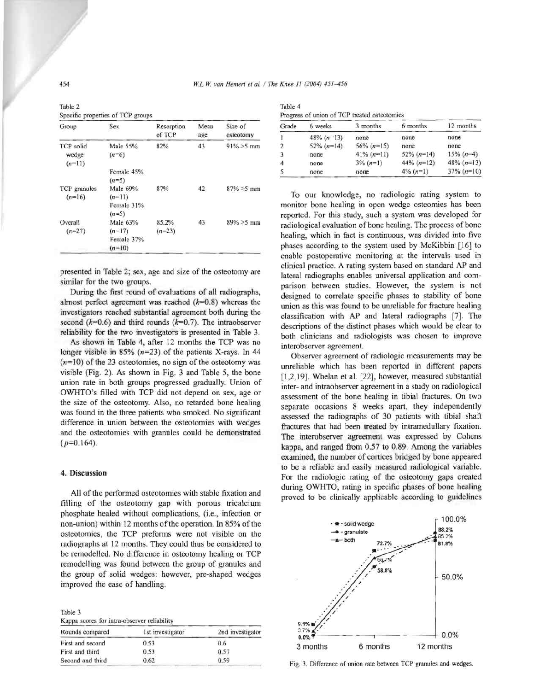| Table 2                           |  |
|-----------------------------------|--|
| Specific properties of TCP groups |  |

| Group                          | <b>Sex</b>                                       | Resorption<br>of TCP | Mean<br>age | Size of<br>osteotomy |
|--------------------------------|--------------------------------------------------|----------------------|-------------|----------------------|
| TCP solid<br>wedge<br>$(n=11)$ | Male 55%<br>$(n=6)$                              | 82%                  | 43          | $91\% > 5$ mm        |
|                                | Female 45%<br>$(n=5)$                            |                      |             |                      |
| TCP granules<br>$(n=16)$       | Male 69%<br>$(n=11)$<br>Female 31%<br>$(n=5)$    | 87%                  | 42          | $87\% > 5$ mm        |
| Overall<br>$(n=27)$            | Male $63%$<br>$(n=17)$<br>Female 37%<br>$(n=10)$ | 85.2%<br>$(n=23)$    | 43          | $89\% > 5$ mm        |

presented in Table 2; sex, age and size of the osteotomy are similar for the two groups.

During the first round of evaluations of all radiographs, almost perfect agreement was reached  $(k=0.8)$  whereas the investigators reached substantial agreement both during the second  $(k=0.6)$  and third rounds  $(k=0.7)$ . The intraobserver reliability for the two investigators is presented in Table 3.

As shown in Table 4, after 12 months the TCP was no longer visible in 85%  $(n=23)$  of the patients X-rays. In 44  $(n=10)$  of the 23 osteotomies, no sign of the osteotomy was visible (Fig. 2). As shown in Fig. 3 and Table 5, the bone union rate in both groups progressed gradually. Union of OWHTO's filled with TCP did not depend on sex, age or the size of the osteotomy. Also, no retarded bone healing was found in the three patients who smoked. No significant difference in union between the osteotomies with wedges and the osteotomies with granules could be demonstrated  $(p=0.164)$ .

## 4. Discussion

All of the performed osteotomies with stable fixation and filling of the osteotomy gap with porous tricalcium phosphate healed without complications, (i.e., infection or non-union) within 12 months of the operation. In 85% of the osteotomies, the TCP preforms were not visible on the radiographs at 12 months. They could thus be considered to be remodelled. No difference in osteotomy healing or TCP remodelling was found between the group of granules and the group of solid wedges: however, pre-shaped wedges improved the ease of handling.

| lable 5 |  |                                             |  |
|---------|--|---------------------------------------------|--|
|         |  | Kappa scores for intra-observer reliability |  |

| Rounds compared  | Ist investigator | 2nd investigator |  |  |
|------------------|------------------|------------------|--|--|
| First and second | 0.53             | 0.6              |  |  |
| First and third  | 0.53             | 0.57             |  |  |
| Second and third | 0.62             | 0.59             |  |  |

| Table 4                                      |  |
|----------------------------------------------|--|
| Progress of union of TCP treated osteotomies |  |

| <b>ETORIOS</b> OF MINUT OF TWO HORIOG OSCOVIOLING |               |               |               |               |  |  |
|---------------------------------------------------|---------------|---------------|---------------|---------------|--|--|
| Grade                                             | 6 weeks       | 3 months      | 6 months      | 12 months     |  |  |
|                                                   | $48\% (n=13)$ | none          | none          | none          |  |  |
|                                                   | $52\% (n=14)$ | $56\% (n=15)$ | none          | none          |  |  |
|                                                   | none          | $41\% (n=11)$ | $52\% (n=14)$ | $15\%$ (n=4)  |  |  |
| 4                                                 | none          | $3\% (n=1)$   | $44\% (n=12)$ | $48\% (n=13)$ |  |  |
|                                                   | none          | none          | $4\%$ (n=1)   | $37\% (n=10)$ |  |  |

To our knowledge, no radiologic rating system to monitor bone healing in open wedge osteomies has been reported. For this study, such a system was developed for radiological evaluation of bone healing. The process of bone healing, which in fact is continuous, was divided into five phases according to the system used by McKibbin [16] to enable postoperative monitoring at the intervals used in clinical practice. A rating system based on standard AP and lateral radiographs enables universal application and comparison between studies. However, the system is not designed to correlate specific phases to stability of bone union as this was found to be unreliable for fracture healing classification with AP and lateral radiographs [7]. The descriptions of the distinct phases which would be clear to both clinicians and radiologists was chosen to improve interobserver agreement.

Observer agreement of radiologic measurements may be unreliable which has been reported in different papers [1,2,19]. Whelan et al. [22], however, measured substantial inter- and intraobserver agreement in a study on radiological assessment of the bone healing in tibial fractures. On two separate occasions 8 weeks apart, they independently assessed the radiographs of 30 patients with tibial shaft fractures that had been treated by intramedullary fixation. The interobserver agreement was expressed by Cohens kappa, and ranged from 0.57 to 0.89. Among the variables examined, the number of cortices bridged by bone appeared to be a reliable and easily measured radiological variable. For the radiologic rating of the osteotomy gaps created during OWHTO, rating in specific phases of bone healing proved to be clinically applicable according to guidelines



Fig. 3. Difference of union rate between TCP granules and wedges.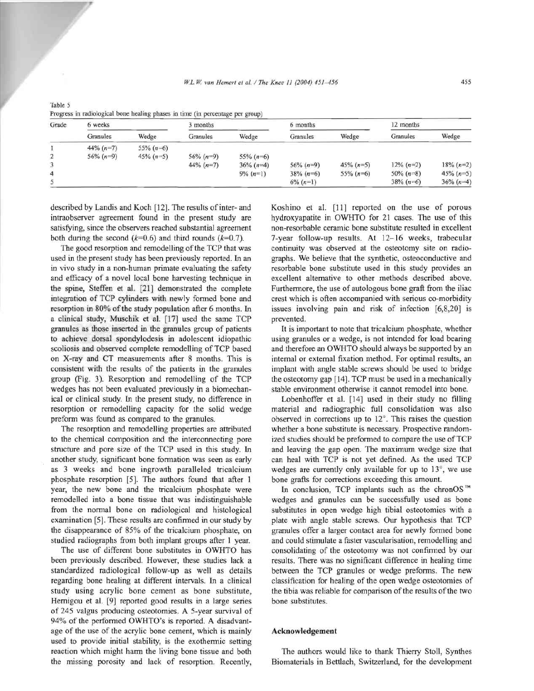| Grade | 6 weeks      |              | 3 months     |               | 6 months      |                | 12 months    |              |
|-------|--------------|--------------|--------------|---------------|---------------|----------------|--------------|--------------|
|       | Granules     | Wedge        | Granules     | Wedge         | Granules      | Wedge          | Granules     | Wedge        |
|       | $44\% (n=7)$ | $55\% (n=6)$ |              |               |               |                |              |              |
|       | $56\% (n=9)$ | $45\% (n=5)$ | $56\% (n=9)$ | 55% $(n=6)$   |               |                |              |              |
|       |              |              | $44\% (n=7)$ | $36\% (n=4)$  | $56\% (n=9)$  | $45\%$ $(n=5)$ | $12\% (n=2)$ | $18\% (n=2)$ |
| 4     |              |              |              | $9\%$ $(n=1)$ | $38\% (n=6)$  | 55% $(n=6)$    | 50% $(n=8)$  | 45% $(n=5)$  |
|       |              |              |              |               | $6\%$ $(n=1)$ |                | $38\% (n=6)$ | $36\% (n=4)$ |

| Table 5                                                                        |  |
|--------------------------------------------------------------------------------|--|
| Progress in radiological bone healing phases in time (in percentage per group) |  |

described by Landis and Koch [12]. The results of inter- and intraobserver agreement found in the present study are satisfying, since the observers reached substantial agreement both during the second  $(k=0.6)$  and third rounds  $(k=0.7)$ .

The good resorption and remodelling of the TCP that was used in the present study has been previously reported. In an in vivo study in a non-human primate evaluating the safety and efficacy of a novel local bone harvesting technique in the spine, Steffen et al. [21] demonstrated the complete integration of TCP cylinders with newly formed bone and resorption in 80% of the study population after 6 months. In a clinical study, Muschik et al. [17] used the same TCP granules as those inserted in the granules group of patients to achieve dorsal spondylodesis in adolescent idiopathic scoliosis and observed complete remodelling of TCP based on X-ray and CT measurements after 8 months. This is consistent with the results of the patients in the granules group (Fig. 3). Resorption and remodelling of the TCP wedges has not been evaluated previously in a biomechanical or clinical study. In the present study, no difference in resorption or remodelling capacity for the solid wedge preform was found as compared to the granules.

The resorption and remodelling properties are attributed to the chemical composition and the interconnecting pore structure and pore size of the TCP used in this study. In another study, significant bone formation was seen as early as 3 weeks and bone ingrowth paralleled tricalcium phosphate resorption [5]. The authors found that after 1 year, the new bone and the tricalcium phosphate were remodelled into a bone tissue that was indistinguishable from the normal bone on radiological and histological examination [5]. These results are confirmed in our study by the disappearance of 85% of the tricalcium phosphate, on studied radiographs from both implant groups after 1 year.

The use of different bone substitutes in OWHTO has been previously described. However, these studies lack a standardized radiological follow-up as well as details regarding bone healing at different intervals. In a clinical study using acrylic bone cement as bone substitute, Hernigou et al. [9] reported good results in a large series of 245 valgus producing osteotomies. A 5-year survival of 94% of the performed OWHTO's is reported. A disadvantage of the use of the acrylic bone cement, which is mainly used to provide initial stability, is the exothermic setting reaction which might harm the living bone tissue and both the missing porosity and lack of resorption. Recently,

Koshino et al. [11] reported on the use of porous hydroxyapatite in OWHTO for 21 cases. The use of this non-resorbable ceramic bone substitute resulted in excellent 7-year follow-up results. At 12-16 weeks, trabecular continuity was observed at the osteotomy site on radiographs. We believe that the synthetic, osteoconductive and resorbable bone substitute used in this study provides an excellent alternative to other methods described above. Furthermore, the use of autologous bone graft from the iliac crest which is often accompanied with serious co-morbidity issues involving pain and risk of infection [6,8,20] is prevented.

It is important to note that tricalcium phosphate, whether using granules or a wedge, is not intended for load bearing and therefore an OWHTO should always be supported by an internal or external fixation method. For optimal results, an implant with angle stable screws should be used to bridge the osteotomy gap [14]. TCP must be used in a mechanically stable environment otherwise it cannot remodel into bone.

Lobenhoffer et al. [14] used in their study no filling material and radiographic full consolidation was also observed in corrections up to 12°. This raises the question whether a bone substitute is necessary. Prospective randomized studies should be preformed to compare the use of TCP and leaving the gap open. The maximum wedge size that can heal with TCP is not yet defined. As the used TCP wedges are currently only available for up to 13°, we use bone grafts for corrections exceeding this amount.

In conclusion, TCP implants such as the chronOS™ wedges and granules can be successfully used as bone substitutes in open wedge high tibial osteotomies with a plate with angle stable screws. Our hypothesis that TCP granules offer a larger contact area for newly formed bone and could stimulate a faster vascularisation, remodelling and consolidating of the osteotomy was not confirmed by our results. There was no significant difference in healing time between the TCP granules or wedge preforms. The new classification for healing of the open wedge osteotomies of the tibia was reliable for comparison of the results of the two bone substitutes.

#### Acknowledgement

The authors would like to thank Thierry Stoll, Synthes Biomaterials in Bettlach, Switzerland, for the development